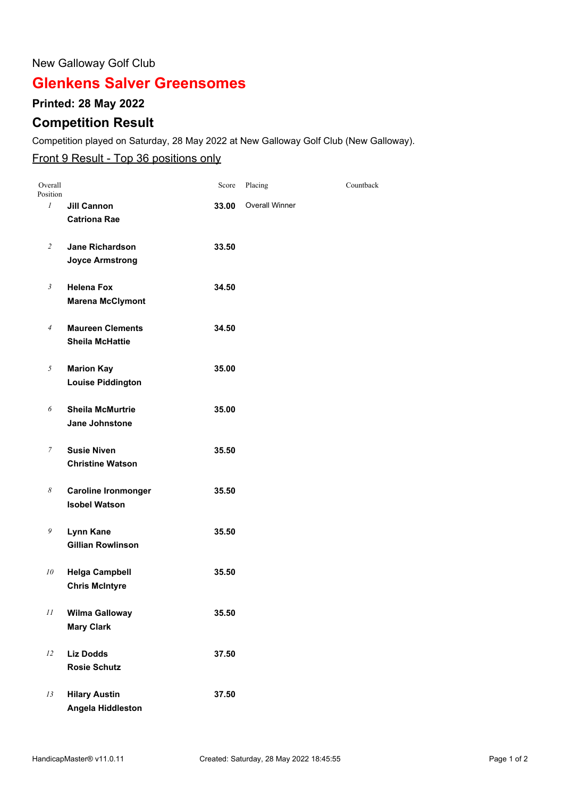#### New Galloway Golf Club

# **Glenkens Salver Greensomes**

### **Printed: 28 May 2022**

## **Competition Result**

Competition played on Saturday, 28 May 2022 at New Galloway Golf Club (New Galloway).

### Front 9 Result - Top 36 positions only

| Overall<br>Position |                                                    | Score | Placing               | Countback |
|---------------------|----------------------------------------------------|-------|-----------------------|-----------|
| 1                   | <b>Jill Cannon</b><br><b>Catriona Rae</b>          | 33.00 | <b>Overall Winner</b> |           |
| 2                   | <b>Jane Richardson</b><br><b>Joyce Armstrong</b>   | 33.50 |                       |           |
| $\mathfrak{Z}$      | <b>Helena Fox</b><br><b>Marena McClymont</b>       | 34.50 |                       |           |
| $\overline{4}$      | <b>Maureen Clements</b><br><b>Sheila McHattie</b>  | 34.50 |                       |           |
| 5                   | <b>Marion Kay</b><br><b>Louise Piddington</b>      | 35.00 |                       |           |
| 6                   | <b>Sheila McMurtrie</b><br>Jane Johnstone          | 35.00 |                       |           |
| 7                   | <b>Susie Niven</b><br><b>Christine Watson</b>      | 35.50 |                       |           |
| 8                   | <b>Caroline Ironmonger</b><br><b>Isobel Watson</b> | 35.50 |                       |           |
| 9                   | Lynn Kane<br><b>Gillian Rowlinson</b>              | 35.50 |                       |           |
| 10                  | <b>Helga Campbell</b><br><b>Chris McIntyre</b>     | 35.50 |                       |           |
| 11                  | <b>Wilma Galloway</b><br><b>Mary Clark</b>         | 35.50 |                       |           |
| 12                  | <b>Liz Dodds</b><br><b>Rosie Schutz</b>            | 37.50 |                       |           |
| 13                  | <b>Hilary Austin</b><br>Angela Hiddleston          | 37.50 |                       |           |